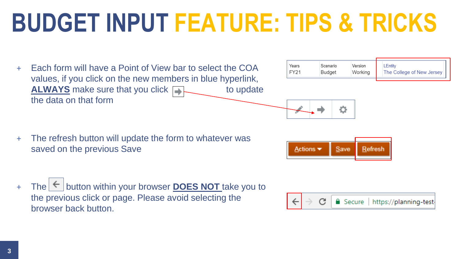## **BUDGET INPUT FEATURE: TIPS & TRICKS**

+ Each form will have a Point of View bar to select the COA values, if you click on the new members in blue hyperlink, **ALWAYS** make sure that you click to update the data on that form

| Years | Scenario | Version | LEntitv                   |
|-------|----------|---------|---------------------------|
| FY21  | Budget   | Working | The College of New Jersey |
|       |          |         |                           |



| + The refresh button will update the form to whatever was |
|-----------------------------------------------------------|
| saved on the previous Save                                |

 $The$   $\vert \text{$ } button within your browser **DOES NOT** take you to the previous click or page. Please avoid selecting the browser back button.



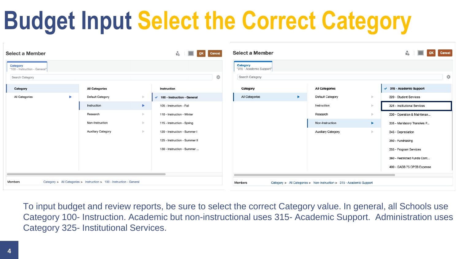# **Budget Input Select the Correct Category**

| <b>Select a Member</b>                                                           |                          |                           |                       | ∎ٌ<br>OK Cancel               | <b>Select a Member</b>                      |                                                                      |                           |                     | <b>Cancel</b><br>nã.         |
|----------------------------------------------------------------------------------|--------------------------|---------------------------|-----------------------|-------------------------------|---------------------------------------------|----------------------------------------------------------------------|---------------------------|---------------------|------------------------------|
| <b>Category</b><br>"100 - Instruction - General"                                 |                          |                           |                       |                               | <b>Category</b><br>"315 - Academic Support" |                                                                      |                           |                     |                              |
| Search Category                                                                  |                          |                           |                       | ¢.                            | Search Category                             |                                                                      |                           |                     | ☆                            |
| Category                                                                         |                          | <b>All Categories</b>     |                       | <b>Instruction</b>            | Category                                    |                                                                      | <b>All Categories</b>     |                     | ◆ 315 - Academic Support     |
| All Categories                                                                   | $\overline{\phantom{a}}$ | Default Category          | $\rightarrow$         | ◆ 100 - Instruction - General | All Categories                              | $\blacktriangleright$                                                | Default Category          | $\mathbb{D}^{\ast}$ | 320 - Student Services       |
|                                                                                  |                          | Instruction               | $\blacktriangleright$ | 105 - Instruction - Fall      |                                             |                                                                      | Instruction               |                     | 325 - Institutional Services |
|                                                                                  |                          | Research                  | $\mathbb{R}$          | 110 - Instruction - Winter    |                                             |                                                                      | Research                  |                     | 330 - Operation & Maintenan  |
|                                                                                  |                          | Non-Instruction           | $\mathbb{R}^n$        | 115 - Instruction - Spring    |                                             |                                                                      | Non-Instruction           | Þ.                  | 335 - Mandatory Transfers P  |
|                                                                                  |                          | <b>Auxiliary Category</b> | $\mathbb{R}$          | 120 - Instruction - Summer I  |                                             |                                                                      | <b>Auxiliary Category</b> | b.                  | 345 - Depreciation           |
|                                                                                  |                          |                           |                       | 125 - Instruction - Summer II |                                             |                                                                      |                           |                     | 350 - Fundraising            |
|                                                                                  |                          |                           |                       | 130 - Instruction - Summer    |                                             |                                                                      |                           |                     | 355 - Program Services       |
|                                                                                  |                          |                           |                       |                               |                                             |                                                                      |                           |                     | 360 - Restricted Funds Cont  |
|                                                                                  |                          |                           |                       |                               |                                             |                                                                      |                           |                     | 400 - GASB 75 OPEB Expense   |
| Category > All Categories > Instruction > 100 - Instruction - General<br>Members |                          |                           |                       | Members                       |                                             | Category > All Categories > Non-Instruction > 315 - Academic Support |                           |                     |                              |

To input budget and review reports, be sure to select the correct Category value. In general, all Schools use Category 100- Instruction. Academic but non-instructional uses 315- Academic Support. Administration uses Category 325- Institutional Services.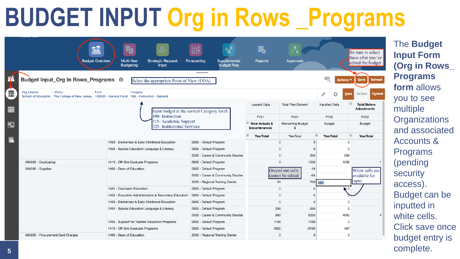# **BUDGET INPUT Org in Rows \_Programs**

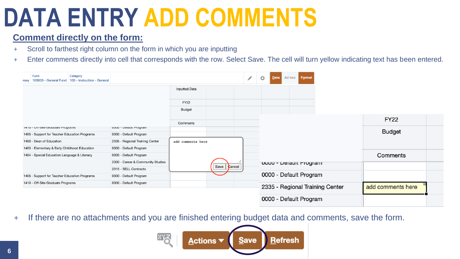### **DATA ENTRY ADD COMMENTS**

### **Comment directly on the form:**

- + Scroll to farthest right column on the form in which you are inputting
- + Enter comments directly into cell that corresponds with the row. Select Save. The cell will turn yellow indicating text has been entered.

| Fund<br>Category<br>100000 - General Fund 100 - Instruction - General<br>rsey |                                   |                      |                  | ◢ | ¢,<br>Data             | Ad hoc | <b>Format</b> |                                 |                   |  |
|-------------------------------------------------------------------------------|-----------------------------------|----------------------|------------------|---|------------------------|--------|---------------|---------------------------------|-------------------|--|
|                                                                               |                                   | <b>Inputted Data</b> |                  |   |                        |        |               |                                 |                   |  |
|                                                                               |                                   | <b>FY22</b>          |                  |   |                        |        |               |                                 |                   |  |
|                                                                               |                                   | Budget               |                  |   |                        |        |               |                                 |                   |  |
|                                                                               |                                   | Comments             |                  |   |                        |        |               |                                 | <b>FY22</b>       |  |
| 1410 - Ull-Site Graudate Programs                                             | UUUU - Delault Program            |                      |                  |   |                        |        |               |                                 |                   |  |
| 1405 - Support for Teacher Education Programs                                 | 0000 - Default Program            |                      |                  |   |                        |        |               |                                 | <b>Budget</b>     |  |
| 1400 - Dean of Education                                                      | 2335 - Regional Training Center   | add comments here    |                  |   |                        |        |               |                                 |                   |  |
| 1403 - Elementary & Early Childhood Education                                 | 0000 - Default Program            |                      |                  |   |                        |        |               |                                 |                   |  |
| 1404 - Special Education Language & Literacy                                  | 0000 - Default Program            |                      |                  |   |                        |        |               |                                 | Comments          |  |
|                                                                               | 2300 - Career & Community Studies |                      |                  |   | UUUU - Delault Program |        |               |                                 |                   |  |
|                                                                               | 2315 - SELL Contracts             |                      | Save  <br>Cancel |   |                        |        |               |                                 |                   |  |
| 1405 - Support for Teacher Education Programs                                 | 0000 - Default Program            |                      |                  |   | 0000 - Default Program |        |               |                                 |                   |  |
| 1410 - Off-Site Graduate Programs                                             | 0000 - Default Program            |                      |                  |   |                        |        |               |                                 |                   |  |
|                                                                               |                                   |                      |                  |   |                        |        |               | 2335 - Regional Training Center | add comments here |  |
|                                                                               |                                   |                      |                  |   | 0000 - Default Program |        |               |                                 |                   |  |

+ If there are no attachments and you are finished entering budget data and comments, save the form.